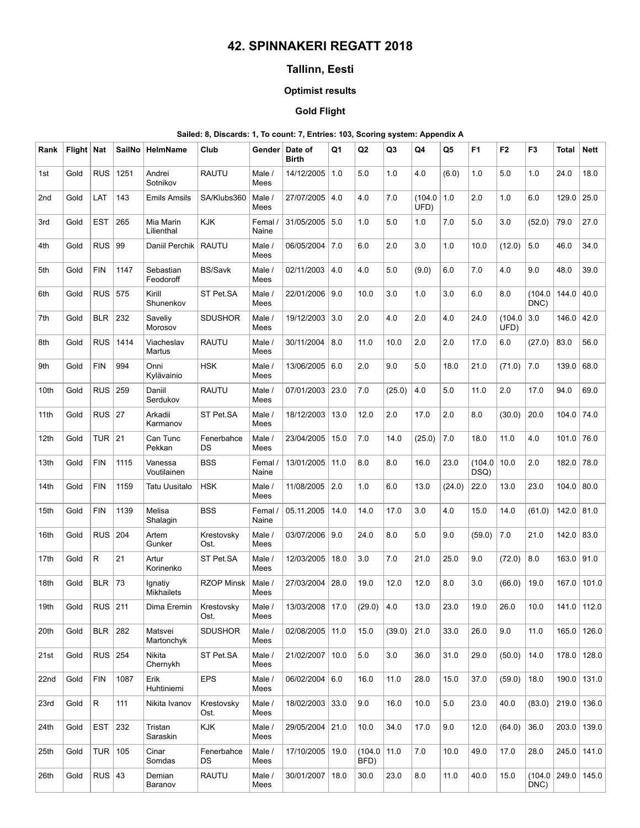# 42. SPINNAKERI REGATT 2018

## Tallinn, Eesti

### Optimist results

### Gold Flight

### Sailed: 8, Discards: 1, To count: 7, Entries: 103, Scoring system: Appendix A

| Rank | Flight   Nat |              | SailNo | HelmName                     | Club               | Gender           | Date of<br><b>Birth</b> | Q1   | Q <sub>2</sub>  | Q3     | Q4             | Q5     | F <sub>1</sub> | F <sub>2</sub> | F <sub>3</sub> | Total                | <b>Nett</b> |
|------|--------------|--------------|--------|------------------------------|--------------------|------------------|-------------------------|------|-----------------|--------|----------------|--------|----------------|----------------|----------------|----------------------|-------------|
| 1st  | Gold         | <b>RUS</b>   | 1251   | Andrei<br>Sotnikov           | <b>RAUTU</b>       | Male /<br>Mees   | 14/12/2005              | 1.0  | 5.0             | 1.0    | 4.0            | (6.0)  | 1.0            | 5.0            | 1.0            | 24.0                 | 18.0        |
| 2nd  | Gold         | LAT          | 143    | <b>Emils Amsils</b>          | SA/Klubs360        | Male /<br>Mees   | 27/07/2005              | 4.0  | 4.0             | 7.0    | (104.0<br>UFD) | 1.0    | 2.0            | 1.0            | 6.0            | 129.0                | 25.0        |
| 3rd  | Gold         | <b>EST</b>   | 265    | Mia Marin<br>Lilienthal      | <b>KJK</b>         | Femal /<br>Naine | 31/05/2005              | 5.0  | 1.0             | 5.0    | 1.0            | 7.0    | 5.0            | 3.0            | (52.0)         | 79.0                 | 27.0        |
| 4th  | Gold         | <b>RUS</b>   | 99     | Daniil Perchik               | <b>RAUTU</b>       | Male /<br>Mees   | 06/05/2004              | 7.0  | 6.0             | 2.0    | 3.0            | 1.0    | 10.0           | (12.0)         | 5.0            | 46.0                 | 34.0        |
| 5th  | Gold         | <b>FIN</b>   | 1147   | Sebastian<br>Feodoroff       | <b>BS/Savk</b>     | Male /<br>Mees   | 02/11/2003              | 4.0  | 4.0             | 5.0    | (9.0)          | 6.0    | 7.0            | 4.0            | 9.0            | 48.0                 | 39.0        |
| 6th  | Gold         | <b>RUS</b>   | 575    | Kirill<br>Shunenkov          | ST Pet.SA          | Male /<br>Mees   | 22/01/2006              | 9.0  | 10.0            | 3.0    | 1.0            | 3.0    | 6.0            | 8.0            | (104.0<br>DNC) | 144.0                | 40.0        |
| 7th  | Gold         | <b>BLR</b>   | 232    | Saveliy<br>Morosov           | <b>SDUSHOR</b>     | Male /<br>Mees   | 19/12/2003              | 3.0  | 2.0             | 4.0    | 2.0            | 4.0    | 24.0           | (104.0<br>UFD) | 3.0            | 146.0                | 42.0        |
| 8th  | Gold         | <b>RUS</b>   | 1414   | Viacheslav<br>Martus         | <b>RAUTU</b>       | Male /<br>Mees   | 30/11/2004              | 8.0  | 11.0            | 10.0   | 2.0            | 2.0    | 17.0           | 6.0            | (27.0)         | 83.0                 | 56.0        |
| 9th  | Gold         | <b>FIN</b>   | 994    | Onni<br>Kylävainio           | <b>HSK</b>         | Male /<br>Mees   | 13/06/2005              | 6.0  | 2.0             | 9.0    | 5.0            | 18.0   | 21.0           | (71.0)         | 7.0            | 139.0                | 68.0        |
| 10th | Gold         | <b>RUS</b>   | 259    | Daniil<br>Serdukov           | <b>RAUTU</b>       | Male /<br>Mees   | 07/01/2003              | 23.0 | 7.0             | (25.0) | 4.0            | 5.0    | 11.0           | 2.0            | 17.0           | 94.0                 | 69.0        |
| 11th | Gold         | $RUS$ 27     |        | Arkadii<br>Karmanov          | ST Pet.SA          | Male /<br>Mees   | 18/12/2003              | 13.0 | 12.0            | 2.0    | 17.0           | 2.0    | 8.0            | (30.0)         | 20.0           | 104.0                | 74.0        |
| 12th | Gold         | <b>TUR</b>   | 21     | Can Tunc<br>Pekkan           | Fenerbahce<br>DS   | Male /<br>Mees   | 23/04/2005              | 15.0 | 7.0             | 14.0   | (25.0)         | 7.0    | 18.0           | 11.0           | 4.0            | 101.0                | 76.0        |
| 13th | Gold         | <b>FIN</b>   | 1115   | Vanessa<br>Voutilainen       | <b>BSS</b>         | Femal /<br>Naine | 13/01/2005              | 11.0 | 8.0             | 8.0    | 16.0           | 23.0   | (104.0<br>DSQ) | 10.0           | 2.0            | 182.0                | 78.0        |
| 14th | Gold         | <b>FIN</b>   | 1159   | Tatu Uusitalo                | <b>HSK</b>         | Male /<br>Mees   | 11/08/2005              | 2.0  | 1.0             | 6.0    | 13.0           | (24.0) | 22.0           | 13.0           | 23.0           | 104.0                | 80.0        |
| 15th | Gold         | <b>FIN</b>   | 1139   | Melisa<br>Shalagin           | <b>BSS</b>         | Femal /<br>Naine | 05.11.2005              | 14.0 | 14.0            | 17.0   | 3.0            | 4.0    | 15.0           | 14.0           | (61.0)         | 142.0                | 81.0        |
| 16th | Gold         | <b>RUS</b>   | 204    | Artem<br>Gunker              | Krestovsky<br>Ost. | Male /<br>Mees   | 03/07/2006              | 9.0  | 24.0            | 8.0    | 5.0            | 9.0    | (59.0)         | 7.0            | 21.0           | 142.0                | 83.0        |
| 17th | Gold         | R            | 21     | Artur<br>Korinenko           | ST Pet.SA          | Male /<br>Mees   | 12/03/2005              | 18.0 | 3.0             | 7.0    | 21.0           | 25.0   | 9.0            | (72.0)         | 8.0            | 163.0                | 91.0        |
| 18th | Gold         | <b>BLR</b>   | 73     | Ignatiy<br><b>Mikhailets</b> | <b>RZOP Minsk</b>  | Male /<br>Mees   | 27/03/2004              | 28.0 | 19.0            | 12.0   | 12.0           | 8.0    | 3.0            | (66.0)         | 19.0           | 167.0                | 101.0       |
| 19th | Gold         | $RUS$ 211    |        | Dima Eremin                  | Krestovsky<br>Ost. | Male /<br>Mees   | 13/03/2008   17.0       |      | (29.0)          | 4.0    | 13.0           | 23.0   | 19.0           | 26.0           | 10.0           |                      | 141.0 112.0 |
| 20th | Gold         | <b>BLR</b>   | 282    | Matsvei<br>Martonchvk        | <b>SDUSHOR</b>     | Male /<br>Mees   | 02/08/2005              | 11.0 | 15.0            | (39.0) | 21.0           | 33.0   | 26.0           | 9.0            | 11.0           | 165.0                | 126.0       |
| 21st | Gold         | RUS          | 254    | Nikita<br>Chernykh           | ST Pet.SA          | Male /<br>Mees   | 21/02/2007              | 10.0 | 5.0             | 3.0    | 36.0           | 31.0   | 29.0           | (50.0)         | 14.0           | 178.0                | 128.0       |
| 22nd | Gold         | <b>FIN</b>   | 1087   | Erik<br>Huhtiniemi           | <b>EPS</b>         | Male /<br>Mees   | 06/02/2004              | 6.0  | 16.0            | 11.0   | 28.0           | 15.0   | 37.0           | (59.0)         | 18.0           | 190.0                | 131.0       |
| 23rd | Gold         | $\mathsf{R}$ | 111    | Nikita Ivanov                | Krestovsky<br>Ost. | Male /<br>Mees   | 18/02/2003              | 33.0 | 9.0             | 16.0   | 10.0           | 5.0    | 23.0           | 40.0           | (83.0)         | 219.0                | 136.0       |
| 24th | Gold         | <b>EST</b>   | 232    | Tristan<br>Saraskin          | <b>KJK</b>         | Male /<br>Mees   | 29/05/2004              | 21.0 | 10.0            | 34.0   | 17.0           | 9.0    | 12.0           | (64.0)         | 36.0           | 203.0                | 139.0       |
| 25th | Gold         | TUR          | 105    | Cinar<br>Somdas              | Fenerbahce<br>DS   | Male /<br>Mees   | 17/10/2005              | 19.0 | (104.0)<br>BFD) | 11.0   | 7.0            | 10.0   | 49.0           | 17.0           | 28.0           | 245.0                | 141.0       |
| 26th | Gold         | RUS $ 43$    |        | Demian<br>Baranov            | <b>RAUTU</b>       | Male /<br>Mees   | 30/01/2007              | 18.0 | 30.0            | 23.0   | 8.0            | 11.0   | 40.0           | 15.0           | DNC)           | $(104.0 \, \, 249.0$ | 145.0       |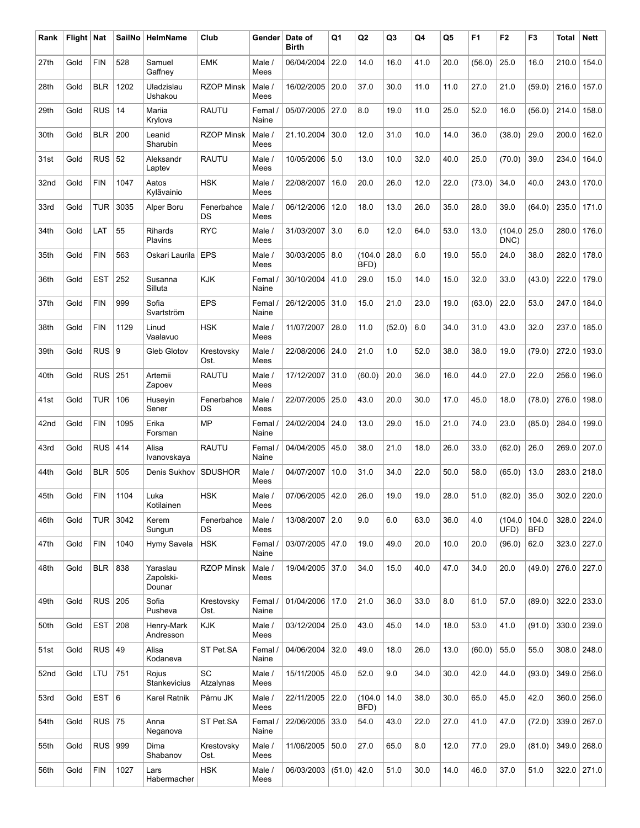| Rank | Flight   Nat |            | SailNo | HelmName                        | Club               | Gender           | Date of<br><b>Birth</b> | Q1     | Q <sub>2</sub>  | Q3     | Q4   | Q5   | F <sub>1</sub> | F <sub>2</sub> | F <sub>3</sub>      | <b>Total</b> | <b>Nett</b>   |
|------|--------------|------------|--------|---------------------------------|--------------------|------------------|-------------------------|--------|-----------------|--------|------|------|----------------|----------------|---------------------|--------------|---------------|
| 27th | Gold         | <b>FIN</b> | 528    | Samuel<br>Gaffney               | <b>EMK</b>         | Male /<br>Mees   | 06/04/2004              | 22.0   | 14.0            | 16.0   | 41.0 | 20.0 | (56.0)         | 25.0           | 16.0                | 210.0        | 154.0         |
| 28th | Gold         | <b>BLR</b> | 1202   | Uladzislau<br>Ushakou           | <b>RZOP Minsk</b>  | Male /<br>Mees   | 16/02/2005              | 20.0   | 37.0            | 30.0   | 11.0 | 11.0 | 27.0           | 21.0           | (59.0)              | 216.0        | 157.0         |
| 29th | Gold         | <b>RUS</b> | 14     | Mariia<br>Krylova               | <b>RAUTU</b>       | Femal /<br>Naine | 05/07/2005              | 27.0   | 8.0             | 19.0   | 11.0 | 25.0 | 52.0           | 16.0           | (56.0)              | 214.0        | 158.0         |
| 30th | Gold         | <b>BLR</b> | 200    | Leanid<br>Sharubin              | <b>RZOP Minsk</b>  | Male /<br>Mees   | 21.10.2004              | 30.0   | 12.0            | 31.0   | 10.0 | 14.0 | 36.0           | (38.0)         | 29.0                | 200.0        | 162.0         |
| 31st | Gold         | <b>RUS</b> | 52     | Aleksandr<br>Laptev             | <b>RAUTU</b>       | Male /<br>Mees   | 10/05/2006 5.0          |        | 13.0            | 10.0   | 32.0 | 40.0 | 25.0           | (70.0)         | 39.0                | 234.0        | 164.0         |
| 32nd | Gold         | <b>FIN</b> | 1047   | Aatos<br>Kylävainio             | <b>HSK</b>         | Male /<br>Mees   | 22/08/2007              | 16.0   | 20.0            | 26.0   | 12.0 | 22.0 | (73.0)         | 34.0           | 40.0                | 243.0        | 170.0         |
| 33rd | Gold         | <b>TUR</b> | 3035   | Alper Boru                      | Fenerbahce<br>DS   | Male /<br>Mees   | 06/12/2006              | 12.0   | 18.0            | 13.0   | 26.0 | 35.0 | 28.0           | 39.0           | (64.0)              | 235.0        | 171.0         |
| 34th | Gold         | LAT        | 55     | Rihards<br>Plavins              | <b>RYC</b>         | Male /<br>Mees   | 31/03/2007              | 3.0    | 6.0             | 12.0   | 64.0 | 53.0 | 13.0           | (104.0<br>DNC) | 25.0                | 280.0        | 176.0         |
| 35th | Gold         | <b>FIN</b> | 563    | Oskari Laurila                  | <b>EPS</b>         | Male /<br>Mees   | 30/03/2005   8.0        |        | (104.0)<br>BFD) | 28.0   | 6.0  | 19.0 | 55.0           | 24.0           | 38.0                | 282.0        | 178.0         |
| 36th | Gold         | <b>EST</b> | 252    | Susanna<br>Silluta              | <b>KJK</b>         | Femal /<br>Naine | 30/10/2004              | 41.0   | 29.0            | 15.0   | 14.0 | 15.0 | 32.0           | 33.0           | (43.0)              | 222.0        | 179.0         |
| 37th | Gold         | <b>FIN</b> | 999    | Sofia<br>Svartström             | <b>EPS</b>         | Femal /<br>Naine | 26/12/2005              | 31.0   | 15.0            | 21.0   | 23.0 | 19.0 | (63.0)         | 22.0           | 53.0                | 247.0        | 184.0         |
| 38th | Gold         | <b>FIN</b> | 1129   | Linud<br>Vaalavuo               | <b>HSK</b>         | Male /<br>Mees   | 11/07/2007              | 28.0   | 11.0            | (52.0) | 6.0  | 34.0 | 31.0           | 43.0           | 32.0                | 237.0        | 185.0         |
| 39th | Gold         | RUS        | 9      | Gleb Glotov                     | Krestovsky<br>Ost. | Male /<br>Mees   | 22/08/2006 24.0         |        | 21.0            | 1.0    | 52.0 | 38.0 | 38.0           | 19.0           | (79.0)              | 272.0        | 193.0         |
| 40th | Gold         | RUS        | 251    | Artemii<br>Zapoev               | RAUTU              | Male /<br>Mees   | 17/12/2007              | 31.0   | (60.0)          | 20.0   | 36.0 | 16.0 | 44.0           | 27.0           | 22.0                | 256.0        | 196.0         |
| 41st | Gold         | <b>TUR</b> | 106    | Huseyin<br>Sener                | Fenerbahce<br>DS   | Male /<br>Mees   | 22/07/2005              | 25.0   | 43.0            | 20.0   | 30.0 | 17.0 | 45.0           | 18.0           | (78.0)              | 276.0        | 198.0         |
| 42nd | Gold         | <b>FIN</b> | 1095   | Erika<br>Forsman                | <b>MP</b>          | Femal /<br>Naine | 24/02/2004              | 24.0   | 13.0            | 29.0   | 15.0 | 21.0 | 74.0           | 23.0           | (85.0)              | 284.0        | 199.0         |
| 43rd | Gold         | <b>RUS</b> | 414    | Alisa<br>Ivanovskaya            | <b>RAUTU</b>       | Femal /<br>Naine | 04/04/2005              | 45.0   | 38.0            | 21.0   | 18.0 | 26.0 | 33.0           | (62.0)         | 26.0                | 269.0        | 207.0         |
| 44th | Gold         | <b>BLR</b> | 505    | Denis Sukhov                    | <b>SDUSHOR</b>     | Male /<br>Mees   | 04/07/2007              | 10.0   | 31.0            | 34.0   | 22.0 | 50.0 | 58.0           | (65.0)         | 13.0                | 283.0        | 218.0         |
| 45th | Gold         | <b>FIN</b> | 1104   | Luka<br>Kotilainen              | <b>HSK</b>         | Male /<br>Mees   | 07/06/2005   42.0       |        | 26.0            | 19.0   | 19.0 | 28.0 | 51.0           | (82.0)         | 35.0                |              | $302.0$ 220.0 |
| 46th | Gold         | <b>TUR</b> | 3042   | Kerem<br>Sungun                 | Fenerbahce<br>DS   | Male /<br>Mees   | 13/08/2007              | 2.0    | 9.0             | 6.0    | 63.0 | 36.0 | 4.0            | (104.0<br>UFD) | 104.0<br><b>BFD</b> | 328.0        | 224.0         |
| 47th | Gold         | <b>FIN</b> | 1040   | Hymy Savela                     | <b>HSK</b>         | Femal /<br>Naine | 03/07/2005   47.0       |        | 19.0            | 49.0   | 20.0 | 10.0 | 20.0           | (96.0)         | 62.0                | 323.0        | 227.0         |
| 48th | Gold         | <b>BLR</b> | 838    | Yaraslau<br>Zapolski-<br>Dounar | <b>RZOP Minsk</b>  | Male /<br>Mees   | 19/04/2005 37.0         |        | 34.0            | 15.0   | 40.0 | 47.0 | 34.0           | 20.0           | (49.0)              | 276.0        | 227.0         |
| 49th | Gold         | RUS        | 205    | Sofia<br>Pusheva                | Krestovsky<br>Ost. | Femal /<br>Naine | 01/04/2006              | 17.0   | 21.0            | 36.0   | 33.0 | 8.0  | 61.0           | 57.0           | (89.0)              | 322.0        | 233.0         |
| 50th | Gold         | <b>EST</b> | 208    | Henry-Mark<br>Andresson         | <b>KJK</b>         | Male /<br>Mees   | 03/12/2004              | 25.0   | 43.0            | 45.0   | 14.0 | 18.0 | 53.0           | 41.0           | (91.0)              | 330.0        | 239.0         |
| 51st | Gold         | RUS        | 49     | Alisa<br>Kodaneva               | ST Pet.SA          | Femal /<br>Naine | 04/06/2004              | 32.0   | 49.0            | 18.0   | 26.0 | 13.0 | (60.0)         | 55.0           | 55.0                | 308.0        | 248.0         |
| 52nd | Gold         | LTU        | 751    | Rojus<br>Stankevicius           | SC<br>Atzalynas    | Male /<br>Mees   | 15/11/2005              | 45.0   | 52.0            | 9.0    | 34.0 | 30.0 | 42.0           | 44.0           | (93.0)              | 349.0        | 256.0         |
| 53rd | Gold         | <b>EST</b> | 6      | Karel Ratnik                    | Pärnu JK           | Male /<br>Mees   | 22/11/2005              | 22.0   | (104.0<br>BFD)  | 14.0   | 38.0 | 30.0 | 65.0           | 45.0           | 42.0                | 360.0        | 256.0         |
| 54th | Gold         | RUS        | 75     | Anna<br>Neganova                | ST Pet.SA          | Femal /<br>Naine | 22/06/2005 33.0         |        | 54.0            | 43.0   | 22.0 | 27.0 | 41.0           | 47.0           | (72.0)              | 339.0        | 267.0         |
| 55th | Gold         | RUS        | 999    | Dima<br>Shabanov                | Krestovsky<br>Ost. | Male /<br>Mees   | 11/06/2005              | 50.0   | 27.0            | 65.0   | 8.0  | 12.0 | 77.0           | 29.0           | (81.0)              | 349.0        | 268.0         |
| 56th | Gold         | <b>FIN</b> | 1027   | Lars<br>Habermacher             | <b>HSK</b>         | Male /<br>Mees   | 06/03/2003              | (51.0) | 42.0            | 51.0   | 30.0 | 14.0 | 46.0           | 37.0           | 51.0                |              | $322.0$ 271.0 |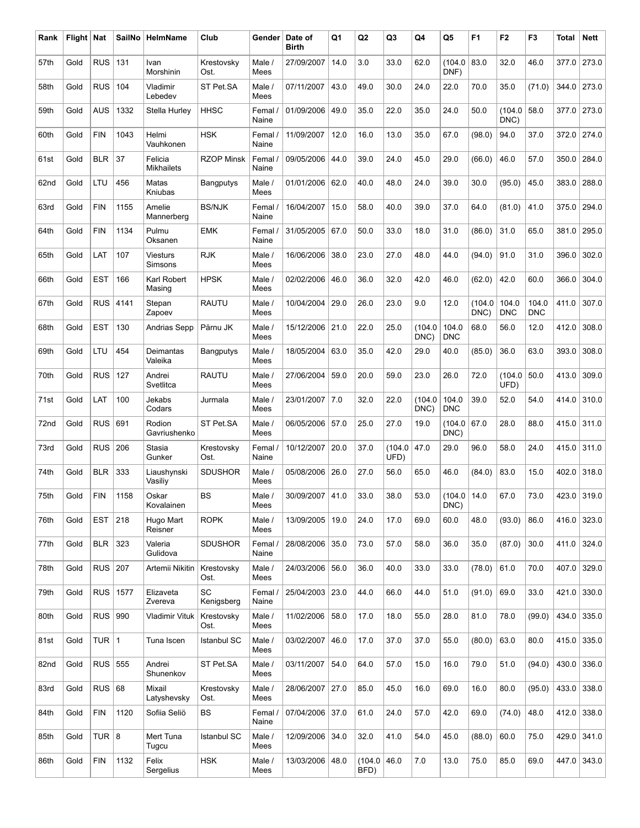| Rank | Flight   Nat |            | SailNo | HelmName                     | Club               | Gender           | Date of<br><b>Birth</b> | Q1   | Q <sub>2</sub> | Q3             | Q4             | Q5                  | F <sub>1</sub> | F <sub>2</sub>      | F3                  | Total | <b>Nett</b> |
|------|--------------|------------|--------|------------------------------|--------------------|------------------|-------------------------|------|----------------|----------------|----------------|---------------------|----------------|---------------------|---------------------|-------|-------------|
| 57th | Gold         | <b>RUS</b> | 131    | Ivan<br>Morshinin            | Krestovsky<br>Ost. | Male /<br>Mees   | 27/09/2007              | 14.0 | 3.0            | 33.0           | 62.0           | (104.0)<br>DNF)     | 83.0           | 32.0                | 46.0                | 377.0 | 273.0       |
| 58th | Gold         | <b>RUS</b> | 104    | Vladimir<br>Lebedev          | ST Pet.SA          | Male /<br>Mees   | 07/11/2007              | 43.0 | 49.0           | 30.0           | 24.0           | 22.0                | 70.0           | 35.0                | (71.0)              | 344.0 | 273.0       |
| 59th | Gold         | <b>AUS</b> | 1332   | Stella Hurley                | <b>HHSC</b>        | Femal /<br>Naine | 01/09/2006              | 49.0 | 35.0           | 22.0           | 35.0           | 24.0                | 50.0           | (104.0<br>DNC)      | 58.0                | 377.0 | 273.0       |
| 60th | Gold         | <b>FIN</b> | 1043   | Helmi<br>Vauhkonen           | <b>HSK</b>         | Femal /<br>Naine | 11/09/2007              | 12.0 | 16.0           | 13.0           | 35.0           | 67.0                | (98.0)         | 94.0                | 37.0                | 372.0 | 274.0       |
| 61st | Gold         | <b>BLR</b> | 37     | Felicia<br><b>Mikhailets</b> | <b>RZOP Minsk</b>  | Femal /<br>Naine | 09/05/2006              | 44.0 | 39.0           | 24.0           | 45.0           | 29.0                | (66.0)         | 46.0                | 57.0                | 350.0 | 284.0       |
| 62nd | Gold         | LTU        | 456    | Matas<br>Kniubas             | <b>Bangputys</b>   | Male /<br>Mees   | 01/01/2006              | 62.0 | 40.0           | 48.0           | 24.0           | 39.0                | 30.0           | (95.0)              | 45.0                | 383.0 | 288.0       |
| 63rd | Gold         | <b>FIN</b> | 1155   | Amelie<br>Mannerberg         | <b>BS/NJK</b>      | Femal /<br>Naine | 16/04/2007              | 15.0 | 58.0           | 40.0           | 39.0           | 37.0                | 64.0           | (81.0)              | 41.0                | 375.0 | 294.0       |
| 64th | Gold         | <b>FIN</b> | 1134   | Pulmu<br>Oksanen             | <b>EMK</b>         | Femal /<br>Naine | 31/05/2005              | 67.0 | 50.0           | 33.0           | 18.0           | 31.0                | (86.0)         | 31.0                | 65.0                | 381.0 | 295.0       |
| 65th | Gold         | LAT        | 107    | <b>Viesturs</b><br>Simsons   | <b>RJK</b>         | Male /<br>Mees   | 16/06/2006              | 38.0 | 23.0           | 27.0           | 48.0           | 44.0                | (94.0)         | 91.0                | 31.0                | 396.0 | 302.0       |
| 66th | Gold         | <b>EST</b> | 166    | Karl Robert<br>Masing        | <b>HPSK</b>        | Male /<br>Mees   | 02/02/2006              | 46.0 | 36.0           | 32.0           | 42.0           | 46.0                | (62.0)         | 42.0                | 60.0                | 366.0 | 304.0       |
| 67th | Gold         | <b>RUS</b> | 4141   | Stepan<br>Zapoev             | <b>RAUTU</b>       | Male /<br>Mees   | 10/04/2004              | 29.0 | 26.0           | 23.0           | 9.0            | 12.0                | (104.0<br>DNC) | 104.0<br><b>DNC</b> | 104.0<br><b>DNC</b> | 411.0 | 307.0       |
| 68th | Gold         | <b>EST</b> | 130    | Andrias Sepp                 | Pärnu JK           | Male /<br>Mees   | 15/12/2006              | 21.0 | 22.0           | 25.0           | (104.0<br>DNC) | 104.0<br><b>DNC</b> | 68.0           | 56.0                | 12.0                | 412.0 | 308.0       |
| 69th | Gold         | LTU        | 454    | Deimantas<br>Valeika         | Bangputys          | Male /<br>Mees   | 18/05/2004              | 63.0 | 35.0           | 42.0           | 29.0           | 40.0                | (85.0)         | 36.0                | 63.0                | 393.0 | 308.0       |
| 70th | Gold         | <b>RUS</b> | 127    | Andrei<br>Svetlitca          | <b>RAUTU</b>       | Male /<br>Mees   | 27/06/2004              | 59.0 | 20.0           | 59.0           | 23.0           | 26.0                | 72.0           | (104.0<br>UFD)      | 50.0                | 413.0 | 309.0       |
| 71st | Gold         | LAT        | 100    | Jekabs<br>Codars             | Jurmala            | Male /<br>Mees   | 23/01/2007              | 7.0  | 32.0           | 22.0           | (104.0<br>DNC) | 104.0<br><b>DNC</b> | 39.0           | 52.0                | 54.0                | 414.0 | 310.0       |
| 72nd | Gold         | <b>RUS</b> | 691    | Rodion<br>Gavriushenko       | ST Pet.SA          | Male /<br>Mees   | 06/05/2006              | 57.0 | 25.0           | 27.0           | 19.0           | (104.0<br>DNC)      | 67.0           | 28.0                | 88.0                | 415.0 | 311.0       |
| 73rd | Gold         | <b>RUS</b> | 206    | Stasia<br>Gunker             | Krestovsky<br>Ost. | Femal /<br>Naine | 10/12/2007              | 20.0 | 37.0           | (104.0<br>UFD) | 47.0           | 29.0                | 96.0           | 58.0                | 24.0                | 415.0 | 311.0       |
| 74th | Gold         | <b>BLR</b> | 333    | Liaushynski<br>Vasiliy       | <b>SDUSHOR</b>     | Male /<br>Mees   | 05/08/2006              | 26.0 | 27.0           | 56.0           | 65.0           | 46.0                | (84.0)         | 83.0                | 15.0                | 402.0 | 318.0       |
| 75th | Gold         | <b>FIN</b> | 1158   | Oskar<br>Kovalainen          | <b>BS</b>          | Male /<br>Mees   | 30/09/2007 41.0         |      | 33.0           | 38.0           | 53.0           | (104.0)<br>DNC)     | 14.0           | 67.0                | 73.0                |       | 423.0 319.0 |
| 76th | Gold         | <b>EST</b> | 218    | Hugo Mart<br>Reisner         | <b>ROPK</b>        | Male /<br>Mees   | 13/09/2005              | 19.0 | 24.0           | 17.0           | 69.0           | 60.0                | 48.0           | (93.0)              | 86.0                | 416.0 | 323.0       |
| 77th | Gold         | <b>BLR</b> | 323    | Valeria<br>Gulidova          | <b>SDUSHOR</b>     | Femal /<br>Naine | 28/08/2006              | 35.0 | 73.0           | 57.0           | 58.0           | 36.0                | 35.0           | (87.0)              | 30.0                | 411.0 | 324.0       |
| 78th | Gold         | RUS        | 207    | Artemii Nikitin              | Krestovsky<br>Ost. | Male /<br>Mees   | 24/03/2006              | 56.0 | 36.0           | 40.0           | 33.0           | 33.0                | (78.0)         | 61.0                | 70.0                | 407.0 | 329.0       |
| 79th | Gold         | RUS        | 1577   | Elizaveta<br>Zvereva         | SC<br>Kenigsberg   | Femal /<br>Naine | 25/04/2003              | 23.0 | 44.0           | 66.0           | 44.0           | 51.0                | (91.0)         | 69.0                | 33.0                | 421.0 | 330.0       |
| 80th | Gold         | RUS        | 990    | <b>Vladimir Vituk</b>        | Krestovsky<br>Ost. | Male /<br>Mees   | 11/02/2006              | 58.0 | 17.0           | 18.0           | 55.0           | 28.0                | 81.0           | 78.0                | (99.0)              | 434.0 | 335.0       |
| 81st | Gold         | TUR $ 1$   |        | Tuna Iscen                   | <b>Istanbul SC</b> | Male /<br>Mees   | 03/02/2007              | 46.0 | 17.0           | 37.0           | 37.0           | 55.0                | (80.0)         | 63.0                | 80.0                | 415.0 | 335.0       |
| 82nd | Gold         | $RUS$ 555  |        | Andrei<br>Shunenkov          | ST Pet.SA          | Male /<br>Mees   | 03/11/2007              | 54.0 | 64.0           | 57.0           | 15.0           | 16.0                | 79.0           | 51.0                | (94.0)              | 430.0 | 336.0       |
| 83rd | Gold         | RUS        | 68     | Mixail<br>Latyshevsky        | Krestovsky<br>Ost. | Male /<br>Mees   | 28/06/2007              | 27.0 | 85.0           | 45.0           | 16.0           | 69.0                | 16.0           | 80.0                | (95.0)              | 433.0 | 338.0       |
| 84th | Gold         | <b>FIN</b> | 1120   | Sofiia Seliö                 | BS                 | Femal /<br>Naine | 07/04/2006 37.0         |      | 61.0           | 24.0           | 57.0           | 42.0                | 69.0           | (74.0)              | 48.0                | 412.0 | 338.0       |
| 85th | Gold         | TUR $ 8$   |        | Mert Tuna<br>Tugcu           | <b>Istanbul SC</b> | Male /<br>Mees   | 12/09/2006              | 34.0 | 32.0           | 41.0           | 54.0           | 45.0                | (88.0)         | 60.0                | 75.0                | 429.0 | 341.0       |
| 86th | Gold         | <b>FIN</b> | 1132   | Felix<br>Sergelius           | <b>HSK</b>         | Male /<br>Mees   | 13/03/2006              | 48.0 | (104.0<br>BFD) | 46.0           | 7.0            | 13.0                | 75.0           | 85.0                | 69.0                | 447.0 | 343.0       |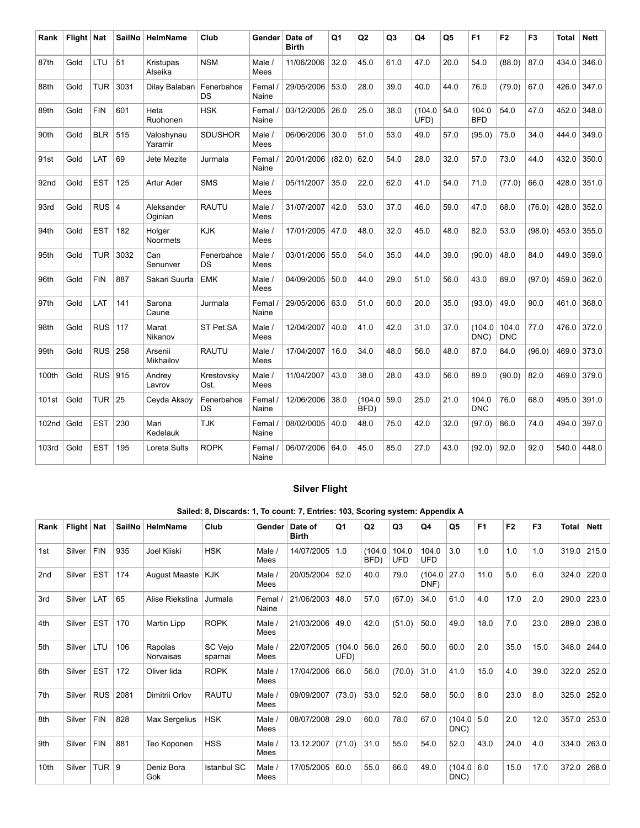| Rank  | Flight Nat |            | <b>SailNo</b> | <b>HelmName</b>       | Club                    | Gender           | Date of<br><b>Birth</b> | Q1     | Q2             | Q <sub>3</sub> | Q4              | Q <sub>5</sub> | F <sub>1</sub>      | F <sub>2</sub>      | F <sub>3</sub> | Total | <b>Nett</b> |
|-------|------------|------------|---------------|-----------------------|-------------------------|------------------|-------------------------|--------|----------------|----------------|-----------------|----------------|---------------------|---------------------|----------------|-------|-------------|
| 87th  | Gold       | LTU        | 51            | Kristupas<br>Alseika  | <b>NSM</b>              | Male /<br>Mees   | 11/06/2006              | 32.0   | 45.0           | 61.0           | 47.0            | 20.0           | 54.0                | (88.0)              | 87.0           | 434.0 | 346.0       |
| 88th  | Gold       | <b>TUR</b> | 3031          | Dilay Balaban         | Fenerbahce<br>DS        | Femal /<br>Naine | 29/05/2006              | 53.0   | 28.0           | 39.0           | 40.0            | 44.0           | 76.0                | (79.0)              | 67.0           | 426.0 | 347.0       |
| 89th  | Gold       | <b>FIN</b> | 601           | Heta<br>Ruohonen      | <b>HSK</b>              | Femal /<br>Naine | 03/12/2005              | 26.0   | 25.0           | 38.0           | (104.0)<br>UFD) | 54.0           | 104.0<br><b>BFD</b> | 54.0                | 47.0           | 452.0 | 348.0       |
| 90th  | Gold       | <b>BLR</b> | 515           | Valoshynau<br>Yaramir | <b>SDUSHOR</b>          | Male /<br>Mees   | 06/06/2006              | 30.0   | 51.0           | 53.0           | 49.0            | 57.0           | (95.0)              | 75.0                | 34.0           | 444.0 | 349.0       |
| 91st  | Gold       | LAT        | 69            | Jete Mezite           | Jurmala                 | Femal /<br>Naine | 20/01/2006              | (82.0) | 62.0           | 54.0           | 28.0            | 32.0           | 57.0                | 73.0                | 44.0           | 432.0 | 350.0       |
| 92nd  | Gold       | <b>EST</b> | 125           | Artur Ader            | <b>SMS</b>              | Male /<br>Mees   | 05/11/2007              | 35.0   | 22.0           | 62.0           | 41.0            | 54.0           | 71.0                | (77.0)              | 66.0           | 428.0 | 351.0       |
| 93rd  | Gold       | $RUS$ 4    |               | Aleksander<br>Oginian | <b>RAUTU</b>            | Male /<br>Mees   | 31/07/2007              | 42.0   | 53.0           | 37.0           | 46.0            | 59.0           | 47.0                | 68.0                | (76.0)         | 428.0 | 352.0       |
| 94th  | Gold       | <b>EST</b> | 182           | Holger<br>Noormets    | <b>KJK</b>              | Male /<br>Mees   | 17/01/2005              | 47.0   | 48.0           | 32.0           | 45.0            | 48.0           | 82.0                | 53.0                | (98.0)         | 453.0 | 355.0       |
| 95th  | Gold       | <b>TUR</b> | 3032          | Can<br>Senunver       | Fenerbahce<br><b>DS</b> | Male /<br>Mees   | 03/01/2006              | 55.0   | 54.0           | 35.0           | 44.0            | 39.0           | (90.0)              | 48.0                | 84.0           | 449.0 | 359.0       |
| 96th  | Gold       | <b>FIN</b> | 887           | Sakari Suurla         | <b>EMK</b>              | Male /<br>Mees   | 04/09/2005              | 50.0   | 44.0           | 29.0           | 51.0            | 56.0           | 43.0                | 89.0                | (97.0)         | 459.0 | 362.0       |
| 97th  | Gold       | LAT        | 141           | Sarona<br>Caune       | Jurmala                 | Femal /<br>Naine | 29/05/2006              | 63.0   | 51.0           | 60.0           | 20.0            | 35.0           | (93.0)              | 49.0                | 90.0           | 461.0 | 368.0       |
| 98th  | Gold       | <b>RUS</b> | 117           | Marat<br>Nikanov      | ST Pet.SA               | Male /<br>Mees   | 12/04/2007              | 40.0   | 41.0           | 42.0           | 31.0            | 37.0           | (104.0<br>DNC)      | 104.0<br><b>DNC</b> | 77.0           | 476.0 | 372.0       |
| 99th  | Gold       | <b>RUS</b> | 258           | Arsenii<br>Mikhailov  | <b>RAUTU</b>            | Male /<br>Mees   | 17/04/2007              | 16.0   | 34.0           | 48.0           | 56.0            | 48.0           | 87.0                | 84.0                | (96.0)         | 469.0 | 373.0       |
| 100th | Gold       | RUS        | 915           | Andrey<br>Lavrov      | Krestovsky<br>Ost.      | Male /<br>Mees   | 11/04/2007              | 43.0   | 38.0           | 28.0           | 43.0            | 56.0           | 89.0                | (90.0)              | 82.0           | 469.0 | 379.0       |
| 101st | Gold       | <b>TUR</b> | 25            | Ceyda Aksoy           | Fenerbahce<br>DS        | Femal /<br>Naine | 12/06/2006              | 38.0   | (104.0<br>BFD) | 59.0           | 25.0            | 21.0           | 104.0<br><b>DNC</b> | 76.0                | 68.0           | 495.0 | 391.0       |
| 102nd | Gold       | <b>EST</b> | 230           | Mari<br>Kedelauk      | <b>TJK</b>              | Femal /<br>Naine | 08/02/0005              | 40.0   | 48.0           | 75.0           | 42.0            | 32.0           | (97.0)              | 86.0                | 74.0           | 494.0 | 397.0       |
| 103rd | Gold       | <b>EST</b> | 195           | Loreta Sults          | <b>ROPK</b>             | Femal /<br>Naine | 06/07/2006              | 64.0   | 45.0           | 85.0           | 27.0            | 43.0           | (92.0)              | 92.0                | 92.0           | 540.0 | 448.0       |

### Silver Flight

### Sailed: 8, Discards: 1, To count: 7, Entries: 103, Scoring system: Appendix A

| Rank | Flight   Nat |            | <b>SailNo</b> | HelmName             | Club               | Gender           | Date of<br><b>Birth</b> | Q1             | Q2             | Q <sub>3</sub>      | Q4              | Q5              | F <sub>1</sub> | F <sub>2</sub> | F <sub>3</sub> | <b>Total</b> | <b>Nett</b>   |
|------|--------------|------------|---------------|----------------------|--------------------|------------------|-------------------------|----------------|----------------|---------------------|-----------------|-----------------|----------------|----------------|----------------|--------------|---------------|
| 1st  | Silver       | <b>FIN</b> | 935           | <b>Joel Kiiski</b>   | <b>HSK</b>         | Male $/$<br>Mees | 14/07/2005              | 1.0            | (104.0<br>BFD) | 104.0<br><b>UFD</b> | 104.0<br>UFD    | 3.0             | 1.0            | 1.0            | 1.0            |              | $319.0$ 215.0 |
| 2nd  | Silver       | <b>EST</b> | 174           | <b>August Maaste</b> | <b>KJK</b>         | Male /<br>Mees   | 20/05/2004              | 52.0           | 40.0           | 79.0                | (104.0)<br>DNF) | 27.0            | 11.0           | 5.0            | 6.0            | 324.0        | 220.0         |
| 3rd  | Silver       | LAT        | 65            | Alise Riekstina      | Jurmala            | Femal<br>Naine   | 21/06/2003              | 48.0           | 57.0           | (67.0)              | 34.0            | 61.0            | 4.0            | 17.0           | 2.0            | 290.0        | 223.0         |
| 4th  | Silver       | <b>EST</b> | 170           | Martin Lipp          | <b>ROPK</b>        | Male /<br>Mees   | 21/03/2006              | 49.0           | 42.0           | (51.0)              | 50.0            | 49.0            | 18.0           | 7.0            | 23.0           | 289.0        | 238.0         |
| 5th  | Silver       | LTU        | 106           | Rapolas<br>Norvaisas | SC Vejo<br>sparnai | Male /<br>Mees   | 22/07/2005              | (104.0<br>UFD) | 56.0           | 26.0                | 50.0            | 60.0            | 2.0            | 35.0           | 15.0           | 348.0        | 244.0         |
| 6th  | Silver       | <b>EST</b> | 172           | Oliver lida          | <b>ROPK</b>        | Male<br>Mees     | 17/04/2006              | 66.0           | 56.0           | (70.0)              | 31.0            | 41.0            | 15.0           | 4.0            | 39.0           | 322.0        | 252.0         |
| 7th  | Silver       | <b>RUS</b> | 2081          | Dimitrii Orlov       | <b>RAUTU</b>       | Male $/$<br>Mees | 09/09/2007              | (73.0)         | 53.0           | 52.0                | 58.0            | 50.0            | 8.0            | 23.0           | 8.0            | 325.0        | 252.0         |
| 8th  | Silver       | <b>FIN</b> | 828           | Max Sergelius        | <b>HSK</b>         | Male<br>Mees     | 08/07/2008              | 29.0           | 60.0           | 78.0                | 67.0            | (104.0<br>DNC)  | 5.0            | 2.0            | 12.0           | 357.0        | 253.0         |
| 9th  | Silver       | <b>FIN</b> | 881           | Teo Koponen          | <b>HSS</b>         | Male /<br>Mees   | 13.12.2007              | (71.0)         | 31.0           | 55.0                | 54.0            | 52.0            | 43.0           | 24.0           | 4.0            | 334.0        | 263.0         |
| 10th | Silver       | TUR        | 9             | Deniz Bora<br>Gok    | Istanbul SC        | Male<br>Mees     | 17/05/2005              | 60.0           | 55.0           | 66.0                | 49.0            | (104.0)<br>DNC) | 6.0            | 15.0           | 17.0           | 372.0        | 268.0         |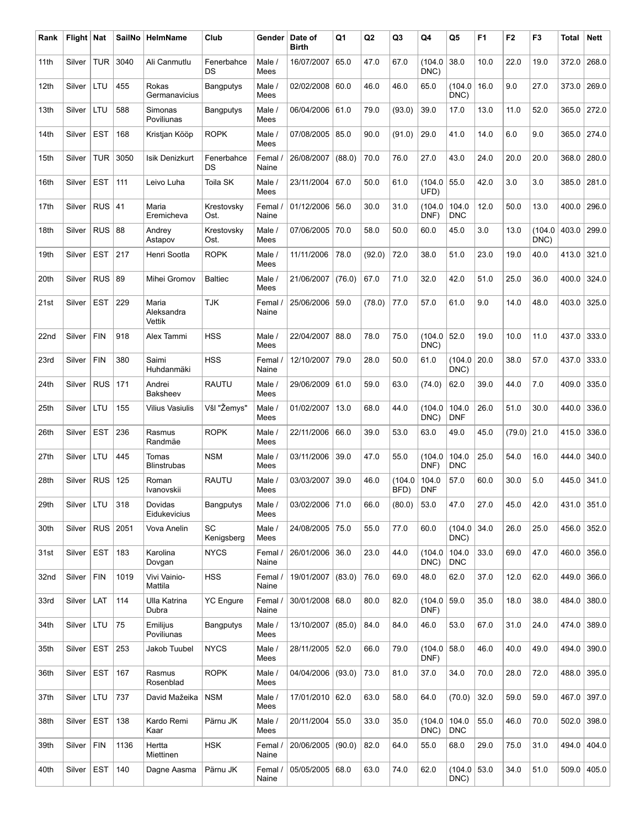| Rank | Flight   Nat |            | <b>SailNo</b> | HelmName                      | Club                    | Gender           | Date of<br><b>Birth</b> | Q1     | Q2     | Q3             | Q4                  | Q5                    | F <sub>1</sub> | F <sub>2</sub> | F <sub>3</sub>  | Total | <b>Nett</b>   |
|------|--------------|------------|---------------|-------------------------------|-------------------------|------------------|-------------------------|--------|--------|----------------|---------------------|-----------------------|----------------|----------------|-----------------|-------|---------------|
| 11th | Silver       | <b>TUR</b> | 3040          | Ali Canmutlu                  | Fenerbahce<br>DS        | Male /<br>Mees   | 16/07/2007              | 65.0   | 47.0   | 67.0           | (104.0<br>DNC)      | 38.0                  | 10.0           | 22.0           | 19.0            | 372.0 | 268.0         |
| 12th | Silver       | LTU        | 455           | Rokas<br>Germanavicius        | <b>Bangputys</b>        | Male /<br>Mees   | 02/02/2008              | 60.0   | 46.0   | 46.0           | 65.0                | (104.0<br>DNC)        | 16.0           | 9.0            | 27.0            | 373.0 | 269.0         |
| 13th | Silver       | LTU        | 588           | Simonas<br>Poviliunas         | Bangputys               | Male /<br>Mees   | 06/04/2006 61.0         |        | 79.0   | (93.0)         | 39.0                | 17.0                  | 13.0           | 11.0           | 52.0            | 365.0 | 272.0         |
| 14th | Silver       | <b>EST</b> | 168           | Kristjan Kööp                 | <b>ROPK</b>             | Male /<br>Mees   | 07/08/2005              | 85.0   | 90.0   | (91.0)         | 29.0                | 41.0                  | 14.0           | 6.0            | 9.0             | 365.0 | 274.0         |
| 15th | Silver       | <b>TUR</b> | 3050          | Isik Denizkurt                | Fenerbahce<br>DS        | Femal.<br>Naine  | 26/08/2007              | (88.0) | 70.0   | 76.0           | 27.0                | 43.0                  | 24.0           | 20.0           | 20.0            | 368.0 | 280.0         |
| 16th | Silver       | <b>EST</b> | 111           | Leivo Luha                    | Toila SK                | Male /<br>Mees   | 23/11/2004              | 67.0   | 50.0   | 61.0           | (104.0)<br>UFD)     | 55.0                  | 42.0           | 3.0            | 3.0             | 385.0 | 281.0         |
| 17th | Silver       | $RUS$ 41   |               | Maria<br>Eremicheva           | Krestovsky<br>Ost.      | Femal.<br>Naine  | 01/12/2006 56.0         |        | 30.0   | 31.0           | (104.0<br>DNF)      | 104.0<br><b>DNC</b>   | 12.0           | 50.0           | 13.0            | 400.0 | 296.0         |
| 18th | Silver       | RUS        | 88            | Andrey<br>Astapov             | Krestovsky<br>Ost.      | Male /<br>Mees   | 07/06/2005              | 70.0   | 58.0   | 50.0           | 60.0                | 45.0                  | 3.0            | 13.0           | (104.0)<br>DNC) | 403.0 | 299.0         |
| 19th | Silver       | <b>EST</b> | 217           | Henri Sootla                  | <b>ROPK</b>             | Male /<br>Mees   | 11/11/2006              | 78.0   | (92.0) | 72.0           | 38.0                | 51.0                  | 23.0           | 19.0           | 40.0            | 413.0 | 321.0         |
| 20th | Silver       | $RUS$ 89   |               | Mihei Gromov                  | <b>Baltiec</b>          | Male /<br>Mees   | 21/06/2007              | (76.0) | 67.0   | 71.0           | 32.0                | 42.0                  | 51.0           | 25.0           | 36.0            | 400.0 | 324.0         |
| 21st | Silver       | <b>EST</b> | 229           | Maria<br>Aleksandra<br>Vettik | <b>TJK</b>              | Femal.<br>Naine  | 25/06/2006              | 59.0   | (78.0) | 77.0           | 57.0                | 61.0                  | 9.0            | 14.0           | 48.0            | 403.0 | 325.0         |
| 22nd | Silver       | <b>FIN</b> | 918           | Alex Tammi                    | <b>HSS</b>              | Male /<br>Mees   | 22/04/2007              | 88.0   | 78.0   | 75.0           | (104.0)<br>DNC)     | 52.0                  | 19.0           | 10.0           | 11.0            | 437.0 | 333.0         |
| 23rd | Silver       | <b>FIN</b> | 380           | Saimi<br>Huhdanmäki           | <b>HSS</b>              | Femal<br>Naine   | 12/10/2007              | 79.0   | 28.0   | 50.0           | 61.0                | (104.0<br>DNC)        | 20.0           | 38.0           | 57.0            | 437.0 | 333.0         |
| 24th | Silver       | <b>RUS</b> | 171           | Andrei<br>Baksheev            | <b>RAUTU</b>            | Male /<br>Mees   | 29/06/2009              | 61.0   | 59.0   | 63.0           | (74.0)              | 62.0                  | 39.0           | 44.0           | 7.0             | 409.0 | 335.0         |
| 25th | Silver       | LTU        | 155           | Vilius Vasiulis               | Všl "Žemys"             | Male /<br>Mees   | 01/02/2007              | 13.0   | 68.0   | 44.0           | (104.0<br>DNC)      | 104.0<br><b>DNF</b>   | 26.0           | 51.0           | 30.0            | 440.0 | 336.0         |
| 26th | Silver       | <b>EST</b> | 236           | Rasmus<br>Randmäe             | <b>ROPK</b>             | Male /<br>Mees   | 22/11/2006              | 66.0   | 39.0   | 53.0           | 63.0                | 49.0                  | 45.0           | (79.0)         | 21.0            | 415.0 | 336.0         |
| 27th | Silver       | LTU        | 445           | Tomas<br><b>Blinstrubas</b>   | <b>NSM</b>              | Male /<br>Mees   | 03/11/2006              | 39.0   | 47.0   | 55.0           | (104.0<br>DNF)      | 104.0<br><b>DNC</b>   | 25.0           | 54.0           | 16.0            | 444.0 | 340.0         |
| 28th | Silver       | <b>RUS</b> | 125           | Roman<br>Ivanovskii           | <b>RAUTU</b>            | Male /<br>Mees   | 03/03/2007              | 39.0   | 46.0   | (104.0<br>BFD) | 104.0<br><b>DNF</b> | 57.0                  | 60.0           | 30.0           | 5.0             | 445.0 | 341.0         |
| 29th | Silver   LTU |            | 318           | Dovidas<br>Eidukevicius       | <b>Bangputys</b>        | Male /<br>Mees   | 03/02/2006 71.0         |        | 66.0   | (80.0)         | 53.0                | 47.0                  | 27.0           | 45.0           | 42.0            | 431.0 | 351.0         |
| 30th | Silver       |            | RUS 2051      | Vova Anelin                   | <b>SC</b><br>Kenigsberg | Male /<br>Mees   | 24/08/2005 75.0         |        | 55.0   | 77.0           | 60.0                | (104.0)<br>DNC)       | 34.0           | 26.0           | 25.0            | 456.0 | 352.0         |
| 31st | Silver       | <b>EST</b> | 183           | Karolina<br>Dovgan            | <b>NYCS</b>             | Femal /<br>Naine | 26/01/2006 36.0         |        | 23.0   | 44.0           | (104.0<br>DNC)      | 104.0<br><b>DNC</b>   | 33.0           | 69.0           | 47.0            | 460.0 | 356.0         |
| 32nd | Silver       | <b>FIN</b> | 1019          | Vivi Vainio-<br>Mattila       | <b>HSS</b>              | Femal /<br>Naine | 19/01/2007              | (83.0) | 76.0   | 69.0           | 48.0                | 62.0                  | 37.0           | 12.0           | 62.0            | 449.0 | 366.0         |
| 33rd | Silver       | LAT        | 114           | Ulla Katrina<br>Dubra         | <b>YC Engure</b>        | Femal /<br>Naine | 30/01/2008 68.0         |        | 80.0   | 82.0           | (104.0)<br>DNF)     | 59.0                  | 35.0           | 18.0           | 38.0            | 484.0 | 380.0         |
| 34th | Silver       | LTU        | 75            | Emilijus<br>Poviliunas        | <b>Bangputys</b>        | Male /<br>Mees   | 13/10/2007              | (85.0) | 84.0   | 84.0           | 46.0                | 53.0                  | 67.0           | 31.0           | 24.0            | 474.0 | 389.0         |
| 35th | Silver       | <b>EST</b> | 253           | Jakob Tuubel                  | <b>NYCS</b>             | Male /<br>Mees   | 28/11/2005              | 52.0   | 66.0   | 79.0           | (104.0)<br>DNF)     | 58.0                  | 46.0           | 40.0           | 49.0            | 494.0 | 390.0         |
| 36th | Silver       | <b>EST</b> | 167           | Rasmus<br>Rosenblad           | <b>ROPK</b>             | Male /<br>Mees   | 04/04/2006              | (93.0) | 73.0   | 81.0           | 37.0                | 34.0                  | 70.0           | 28.0           | 72.0            | 488.0 | 395.0         |
| 37th | Silver       | LTU        | 737           | David Mažeika                 | <b>NSM</b>              | Male /<br>Mees   | 17/01/2010 62.0         |        | 63.0   | 58.0           | 64.0                | (70.0)                | 32.0           | 59.0           | 59.0            | 467.0 | 397.0         |
| 38th | Silver       | <b>EST</b> | 138           | Kardo Remi<br>Kaar            | Pärnu JK                | Male /<br>Mees   | 20/11/2004              | 55.0   | 33.0   | 35.0           | (104.0)<br>DNC)     | 104.0<br><b>DNC</b>   | 55.0           | 46.0           | 70.0            | 502.0 | 398.0         |
| 39th | Silver       | <b>FIN</b> | 1136          | Hertta<br>Miettinen           | <b>HSK</b>              | Femal<br>Naine   | 20/06/2005              | (90.0) | 82.0   | 64.0           | 55.0                | 68.0                  | 29.0           | 75.0           | 31.0            | 494.0 | 404.0         |
| 40th | Silver       | EST        | 140           | Dagne Aasma                   | Pärnu JK                | Femal /<br>Naine | 05/05/2005 68.0         |        | 63.0   | 74.0           | 62.0                | (104.0   53.0<br>DNC) |                | 34.0           | 51.0            |       | 509.0   405.0 |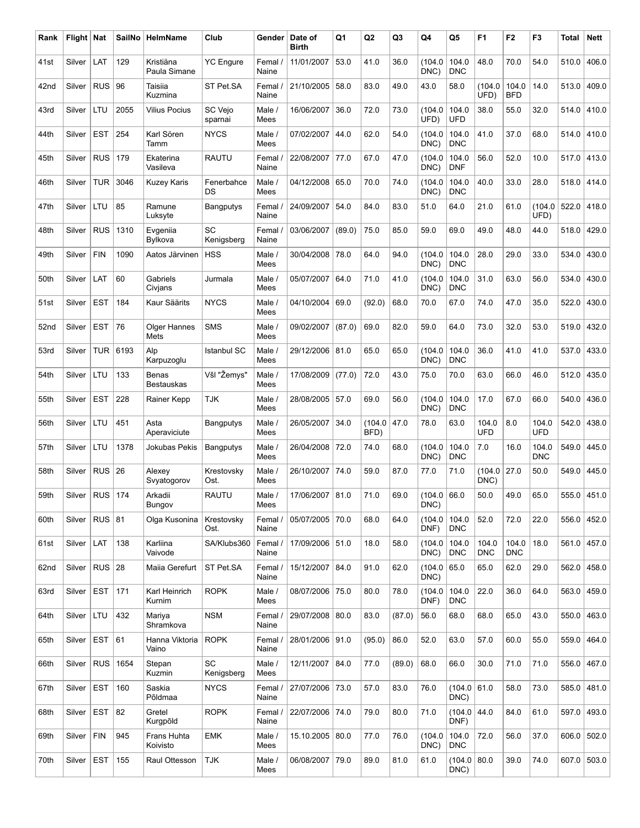| Rank | Flight   Nat       |            | SailNo | HelmName                          | Club                    | Gender           | Date of<br><b>Birth</b> | Q1     | Q <sub>2</sub> | Q3     | Q4                    | Q5                  | F <sub>1</sub>      | F <sub>2</sub>      | F <sub>3</sub>      | <b>Total</b> | <b>Nett</b> |
|------|--------------------|------------|--------|-----------------------------------|-------------------------|------------------|-------------------------|--------|----------------|--------|-----------------------|---------------------|---------------------|---------------------|---------------------|--------------|-------------|
| 41st | Silver             | LAT        | 129    | Kristiäna<br>Paula Simane         | <b>YC</b> Engure        | Femal.<br>Naine  | 11/01/2007              | 53.0   | 41.0           | 36.0   | (104.0<br>DNC)        | 104.0<br><b>DNC</b> | 48.0                | 70.0                | 54.0                | 510.0        | 406.0       |
| 42nd | Silver             | <b>RUS</b> | 96     | Taisiia<br>Kuzmina                | ST Pet.SA               | Femal /<br>Naine | 21/10/2005              | 58.0   | 83.0           | 49.0   | 43.0                  | 58.0                | (104.0<br>UFD)      | 104.0<br><b>BFD</b> | 14.0                | 513.0        | 409.0       |
| 43rd | Silver             | LTU        | 2055   | <b>Vilius Pocius</b>              | SC Vejo<br>sparnai      | Male /<br>Mees   | 16/06/2007              | 36.0   | 72.0           | 73.0   | (104.0<br>UFD)        | 104.0<br><b>UFD</b> | 38.0                | 55.0                | 32.0                | 514.0        | 410.0       |
| 44th | Silver             | <b>EST</b> | 254    | Karl Sören<br>Tamm                | <b>NYCS</b>             | Male /<br>Mees   | 07/02/2007              | 44.0   | 62.0           | 54.0   | (104.0<br>DNC)        | 104.0<br><b>DNC</b> | 41.0                | 37.0                | 68.0                | 514.0        | 410.0       |
| 45th | Silver             | <b>RUS</b> | 179    | Ekaterina<br>Vasileva             | <b>RAUTU</b>            | Femal.<br>Naine  | 22/08/2007 77.0         |        | 67.0           | 47.0   | (104.0<br>DNC)        | 104.0<br><b>DNF</b> | 56.0                | 52.0                | 10.0                | 517.0        | 413.0       |
| 46th | Silver             | <b>TUR</b> | 3046   | <b>Kuzey Karis</b>                | Fenerbahce<br>DS        | Male /<br>Mees   | 04/12/2008 65.0         |        | 70.0           | 74.0   | (104.0<br>DNC)        | 104.0<br><b>DNC</b> | 40.0                | 33.0                | 28.0                | 518.0        | 414.0       |
| 47th | Silver             | LTU        | 85     | Ramune<br>Luksyte                 | <b>Bangputys</b>        | Femal<br>Naine   | 24/09/2007              | 54.0   | 84.0           | 83.0   | 51.0                  | 64.0                | 21.0                | 61.0                | (104.0)<br>UFD)     | 522.0        | 418.0       |
| 48th | Silver             | <b>RUS</b> | 1310   | Evgeniia<br>Bylkova               | SC<br>Kenigsberg        | Femal /<br>Naine | 03/06/2007              | (89.0) | 75.0           | 85.0   | 59.0                  | 69.0                | 49.0                | 48.0                | 44.0                | 518.0        | 429.0       |
| 49th | Silver             | <b>FIN</b> | 1090   | Aatos Järvinen                    | <b>HSS</b>              | Male /<br>Mees   | 30/04/2008              | 78.0   | 64.0           | 94.0   | (104.0<br>DNC)        | 104.0<br><b>DNC</b> | 28.0                | 29.0                | 33.0                | 534.0        | 430.0       |
| 50th | Silver             | LAT        | 60     | Gabriels<br>Civjans               | Jurmala                 | Male /<br>Mees   | 05/07/2007              | 64.0   | 71.0           | 41.0   | (104.0<br>DNC)        | 104.0<br><b>DNC</b> | 31.0                | 63.0                | 56.0                | 534.0        | 430.0       |
| 51st | Silver             | <b>EST</b> | 184    | Kaur Säärits                      | <b>NYCS</b>             | Male /<br>Mees   | 04/10/2004              | 69.0   | (92.0)         | 68.0   | 70.0                  | 67.0                | 74.0                | 47.0                | 35.0                | 522.0        | 430.0       |
| 52nd | Silver             | <b>EST</b> | 76     | Olger Hannes<br>Mets              | <b>SMS</b>              | Male /<br>Mees   | 09/02/2007              | (87.0) | 69.0           | 82.0   | 59.0                  | 64.0                | 73.0                | 32.0                | 53.0                | 519.0        | 432.0       |
| 53rd | Silver             | <b>TUR</b> | 6193   | Alp<br>Karpuzoglu                 | <b>Istanbul SC</b>      | Male /<br>Mees   | 29/12/2006 81.0         |        | 65.0           | 65.0   | (104.0<br>DNC)        | 104.0<br><b>DNC</b> | 36.0                | 41.0                | 41.0                | 537.0        | 433.0       |
| 54th | Silver             | LTU        | 133    | <b>Benas</b><br><b>Bestauskas</b> | Všl "Žemys"             | Male /<br>Mees   | 17/08/2009              | (77.0) | 72.0           | 43.0   | 75.0                  | 70.0                | 63.0                | 66.0                | 46.0                | 512.0        | 435.0       |
| 55th | Silver             | <b>EST</b> | 228    | Rainer Kepp                       | <b>TJK</b>              | Male /<br>Mees   | 28/08/2005 57.0         |        | 69.0           | 56.0   | (104.0<br>DNC)        | 104.0<br><b>DNC</b> | 17.0                | 67.0                | 66.0                | 540.0        | 436.0       |
| 56th | Silver             | LTU        | 451    | Asta<br>Aperaviciute              | <b>Bangputys</b>        | Male /<br>Mees   | 26/05/2007              | 34.0   | (104.0<br>BFD) | 47.0   | 78.0                  | 63.0                | 104.0<br><b>UFD</b> | 8.0                 | 104.0<br><b>UFD</b> | 542.0        | 438.0       |
| 57th | Silver             | LTU        | 1378   | Jokubas Pekis                     | Bangputys               | Male /<br>Mees   | 26/04/2008 72.0         |        | 74.0           | 68.0   | (104.0<br>DNC)        | 104.0<br><b>DNC</b> | 7.0                 | 16.0                | 104.0<br><b>DNC</b> | 549.0        | 445.0       |
| 58th | Silver             | <b>RUS</b> | 26     | Alexey<br>Svyatogorov             | Krestovsky<br>Ost.      | Male /<br>Mees   | 26/10/2007              | 74.0   | 59.0           | 87.0   | 77.0                  | 71.0                | (104.0)<br>DNC)     | 27.0                | 50.0                | 549.0        | 445.0       |
| 59th | Silver   RUS   174 |            |        | Arkadii<br>Bungov                 | <b>RAUTU</b>            | Male /<br>Mees   | 17/06/2007 81.0         |        | 71.0           | 69.0   | (104.0   66.0<br>DNC) |                     | 50.0                | 49.0                | 65.0                |              | 555.0 451.0 |
| 60th | Silver             | $RUS$ 81   |        | Olga Kusonina                     | Krestovsky<br>Ost.      | Femal<br>Naine   | 05/07/2005 70.0         |        | 68.0           | 64.0   | (104.0<br>DNF)        | 104.0<br><b>DNC</b> | 52.0                | 72.0                | 22.0                | 556.0        | 452.0       |
| 61st | Silver             | LAT        | 138    | Karliina<br>Vaivode               | SA/Klubs360             | Femal /<br>Naine | 17/09/2006 51.0         |        | 18.0           | 58.0   | (104.0<br>DNC)        | 104.0<br><b>DNC</b> | 104.0<br><b>DNC</b> | 104.0<br><b>DNC</b> | 18.0                | 561.0        | 457.0       |
| 62nd | Silver             | $RUS$ 28   |        | Maiia Gerefurt                    | ST Pet.SA               | Femal /<br>Naine | 15/12/2007              | 84.0   | 91.0           | 62.0   | (104.0)<br>DNC)       | 65.0                | 65.0                | 62.0                | 29.0                | 562.0        | 458.0       |
| 63rd | Silver             | <b>EST</b> | 171    | Karl Heinrich<br>Kurnim           | <b>ROPK</b>             | Male /<br>Mees   | 08/07/2006 75.0         |        | 80.0           | 78.0   | (104.0<br>DNF)        | 104.0<br><b>DNC</b> | 22.0                | 36.0                | 64.0                | 563.0        | 459.0       |
| 64th | Silver             | LTU        | 432    | Mariya<br>Shramkova               | <b>NSM</b>              | Femal /<br>Naine | 29/07/2008 80.0         |        | 83.0           | (87.0) | 56.0                  | 68.0                | 68.0                | 65.0                | 43.0                | 550.0        | 463.0       |
| 65th | Silver             | <b>EST</b> | 61     | Hanna Viktoria<br>Vaino           | <b>ROPK</b>             | Femal /<br>Naine | 28/01/2006 91.0         |        | (95.0)         | 86.0   | 52.0                  | 63.0                | 57.0                | 60.0                | 55.0                | 559.0        | 464.0       |
| 66th | Silver             | RUS        | 1654   | Stepan<br>Kuzmin                  | <b>SC</b><br>Kenigsberg | Male /<br>Mees   | 12/11/2007              | 84.0   | 77.0           | (89.0) | 68.0                  | 66.0                | 30.0                | 71.0                | 71.0                | 556.0        | 467.0       |
| 67th | Silver             | <b>EST</b> | 160    | Saskia<br>Põldmaa                 | <b>NYCS</b>             | Femal /<br>Naine | 27/07/2006 73.0         |        | 57.0           | 83.0   | 76.0                  | (104.0)<br>DNC)     | 61.0                | 58.0                | 73.0                | 585.0        | 481.0       |
| 68th | Silver             | <b>EST</b> | 82     | Gretel<br>Kurgpõld                | <b>ROPK</b>             | Femal /<br>Naine | 22/07/2006 74.0         |        | 79.0           | 80.0   | 71.0                  | (104.0)<br>DNF)     | 44.0                | 84.0                | 61.0                | 597.0        | 493.0       |
| 69th | Silver             | <b>FIN</b> | 945    | Frans Huhta<br>Koivisto           | <b>EMK</b>              | Male /<br>Mees   | 15.10.2005 80.0         |        | 77.0           | 76.0   | (104.0<br>DNC)        | 104.0<br><b>DNC</b> | 72.0                | 56.0                | 37.0                | 606.0        | 502.0       |
| 70th | Silver             | <b>EST</b> | 155    | Raul Ottesson                     | <b>TJK</b>              | Male /<br>Mees   | 06/08/2007 79.0         |        | 89.0           | 81.0   | 61.0                  | (104.0)<br>DNC)     | 80.0                | 39.0                | 74.0                | 607.0        | 503.0       |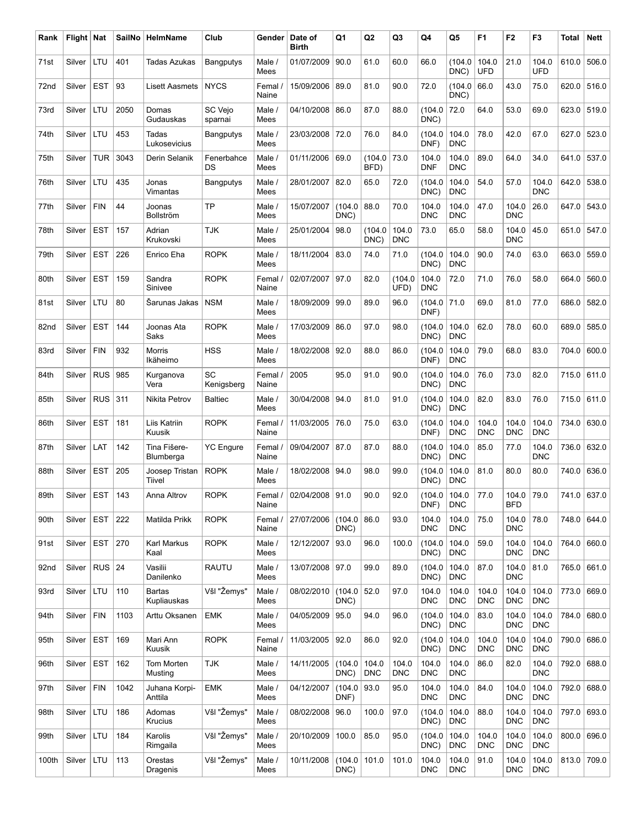| Rank  | Flight   Nat |            | SailNo | HelmName                     | Club               | Gender           | Date of<br><b>Birth</b> | Q1              | Q <sub>2</sub>      | Q3                  | Q4                  | Q5                  | F <sub>1</sub>      | F <sub>2</sub>           | F <sub>3</sub>      | Total | <b>Nett</b> |
|-------|--------------|------------|--------|------------------------------|--------------------|------------------|-------------------------|-----------------|---------------------|---------------------|---------------------|---------------------|---------------------|--------------------------|---------------------|-------|-------------|
| 71st  | Silver       | LTU        | 401    | Tadas Azukas                 | Bangputys          | Male /<br>Mees   | 01/07/2009              | 90.0            | 61.0                | 60.0                | 66.0                | (104.0<br>DNC)      | 104.0<br><b>UFD</b> | 21.0                     | 104.0<br><b>UFD</b> | 610.0 | 506.0       |
| 72nd  | Silver       | <b>EST</b> | 93     | <b>Lisett Aasmets</b>        | <b>NYCS</b>        | Femal.<br>Naine  | 15/09/2006              | 89.0            | 81.0                | 90.0                | 72.0                | (104.0<br>DNC)      | 66.0                | 43.0                     | 75.0                | 620.0 | 516.0       |
| 73rd  | Silver       | LTU        | 2050   | Domas<br>Gudauskas           | SC Vejo<br>sparnai | Male /<br>Mees   | 04/10/2008              | 86.0            | 87.0                | 88.0                | (104.0<br>DNC)      | 72.0                | 64.0                | 53.0                     | 69.0                | 623.0 | 519.0       |
| 74th  | Silver       | LTU        | 453    | Tadas<br>Lukosevicius        | <b>Bangputys</b>   | Male /<br>Mees   | 23/03/2008              | 72.0            | 76.0                | 84.0                | (104.0<br>DNF)      | 104.0<br><b>DNC</b> | 78.0                | 42.0                     | 67.0                | 627.0 | 523.0       |
| 75th  | Silver       | <b>TUR</b> | 3043   | Derin Selanik                | Fenerbahce<br>DS   | Male /<br>Mees   | 01/11/2006              | 69.0            | (104.0)<br>BFD)     | 73.0                | 104.0<br><b>DNF</b> | 104.0<br><b>DNC</b> | 89.0                | 64.0                     | 34.0                | 641.0 | 537.0       |
| 76th  | Silver       | LTU        | 435    | Jonas<br>Vimantas            | <b>Bangputys</b>   | Male /<br>Mees   | 28/01/2007              | 82.0            | 65.0                | 72.0                | (104.0<br>DNC)      | 104.0<br><b>DNC</b> | 54.0                | 57.0                     | 104.0<br><b>DNC</b> | 642.0 | 538.0       |
| 77th  | Silver       | <b>FIN</b> | 44     | Joonas<br>Bollström          | <b>TP</b>          | Male /<br>Mees   | 15/07/2007              | (104.0<br>DNC)  | 88.0                | 70.0                | 104.0<br><b>DNC</b> | 104.0<br><b>DNC</b> | 47.0                | 104.0<br><b>DNC</b>      | 26.0                | 647.0 | 543.0       |
| 78th  | Silver       | <b>EST</b> | 157    | Adrian<br>Krukovski          | <b>TJK</b>         | Male /<br>Mees   | 25/01/2004              | 98.0            | (104.0<br>DNC)      | 104.0<br><b>DNC</b> | 73.0                | 65.0                | 58.0                | 104.0<br><b>DNC</b>      | 45.0                | 651.0 | 547.0       |
| 79th  | Silver       | <b>EST</b> | 226    | Enrico Eha                   | <b>ROPK</b>        | Male /<br>Mees   | 18/11/2004              | 83.0            | 74.0                | 71.0                | (104.0<br>DNC)      | 104.0<br><b>DNC</b> | 90.0                | 74.0                     | 63.0                | 663.0 | 559.0       |
| 80th  | Silver       | <b>EST</b> | 159    | Sandra<br>Sinivee            | <b>ROPK</b>        | Femal.<br>Naine  | 02/07/2007              | 97.0            | 82.0                | (104.0<br>UFD)      | 104.0<br><b>DNC</b> | 72.0                | 71.0                | 76.0                     | 58.0                | 664.0 | 560.0       |
| 81st  | Silver       | LTU        | 80     | Šarunas Jakas                | <b>NSM</b>         | Male /<br>Mees   | 18/09/2009              | 99.0            | 89.0                | 96.0                | (104.0<br>DNF)      | 71.0                | 69.0                | 81.0                     | 77.0                | 686.0 | 582.0       |
| 82nd  | Silver       | <b>EST</b> | 144    | Joonas Ata<br>Saks           | <b>ROPK</b>        | Male /<br>Mees   | 17/03/2009              | 86.0            | 97.0                | 98.0                | (104.0<br>DNC)      | 104.0<br><b>DNC</b> | 62.0                | 78.0                     | 60.0                | 689.0 | 585.0       |
| 83rd  | Silver       | <b>FIN</b> | 932    | Morris<br>Ikäheimo           | <b>HSS</b>         | Male /<br>Mees   | 18/02/2008              | 92.0            | 88.0                | 86.0                | (104.0<br>DNF)      | 104.0<br><b>DNC</b> | 79.0                | 68.0                     | 83.0                | 704.0 | 600.0       |
| 84th  | Silver       | <b>RUS</b> | 985    | Kurganova<br>Vera            | SC<br>Kenigsberg   | Femal.<br>Naine  | 2005                    | 95.0            | 91.0                | 90.0                | (104.0<br>DNC)      | 104.0<br><b>DNC</b> | 76.0                | 73.0                     | 82.0                | 715.0 | 611.0       |
| 85th  | Silver       | <b>RUS</b> | 311    | Nikita Petrov                | <b>Baltiec</b>     | Male /<br>Mees   | 30/04/2008              | 94.0            | 81.0                | 91.0                | (104.0<br>DNC)      | 104.0<br><b>DNC</b> | 82.0                | 83.0                     | 76.0                | 715.0 | 611.0       |
| 86th  | Silver       | <b>EST</b> | 181    | Liis Katriin<br>Kuusik       | <b>ROPK</b>        | Femal /<br>Naine | 11/03/2005              | 76.0            | 75.0                | 63.0                | (104.0<br>DNF)      | 104.0<br><b>DNC</b> | 104.0<br><b>DNC</b> | 104.0<br><b>DNC</b>      | 104.0<br><b>DNC</b> | 734.0 | 630.0       |
| 87th  | Silver       | LAT        | 142    | Tina Fišere-<br>Blumberga    | <b>YC</b> Engure   | Femal<br>Naine   | 09/04/2007              | 87.0            | 87.0                | 88.0                | (104.0<br>DNC)      | 104.0<br><b>DNC</b> | 85.0                | 77.0                     | 104.0<br><b>DNC</b> | 736.0 | 632.0       |
| 88th  | Silver       | <b>EST</b> | 205    | Joosep Tristan<br>Tiivel     | <b>ROPK</b>        | Male /<br>Mees   | 18/02/2008              | 94.0            | 98.0                | 99.0                | (104.0<br>DNC)      | 104.0<br><b>DNC</b> | 81.0                | 80.0                     | 80.0                | 740.0 | 636.0       |
| 89th  | Silver       | <b>EST</b> | 143    | Anna Altrov                  | <b>ROPK</b>        | Femal /<br>Naine | 02/04/2008 91.0         |                 | 90.0                | 92.0                | (104.0)<br>DNF)     | 104.0<br><b>DNC</b> | 77.0                | 104.0 79.0<br><b>BFD</b> |                     |       | 741.0 637.0 |
| 90th  | Silver       | <b>EST</b> | 222    | Matilda Prikk                | <b>ROPK</b>        | Femal<br>Naine   | 27/07/2006              | (104.0<br>DNC)  | 86.0                | 93.0                | 104.0<br><b>DNC</b> | 104.0<br><b>DNC</b> | 75.0                | 104.0<br><b>DNC</b>      | 78.0                | 748.0 | 644.0       |
| 91st  | Silver       | <b>EST</b> | 270    | Karl Markus<br>Kaal          | <b>ROPK</b>        | Male /<br>Mees   | 12/12/2007              | 93.0            | 96.0                | 100.0               | (104.0<br>DNC)      | 104.0<br><b>DNC</b> | 59.0                | 104.0<br>DNC             | 104.0<br><b>DNC</b> | 764.0 | 660.0       |
| 92nd  | Silver       | $RUS$ 24   |        | Vasilii<br>Danilenko         | <b>RAUTU</b>       | Male /<br>Mees   | 13/07/2008 97.0         |                 | 99.0                | 89.0                | (104.0<br>DNC)      | 104.0<br><b>DNC</b> | 87.0                | 104.0<br><b>DNC</b>      | 81.0                | 765.0 | 661.0       |
| 93rd  | Silver       | LTU        | 110    | <b>Bartas</b><br>Kupliauskas | Všl "Žemys"        | Male /<br>Mees   | 08/02/2010              | (104.0<br>DNC)  | 52.0                | 97.0                | 104.0<br><b>DNC</b> | 104.0<br><b>DNC</b> | 104.0<br><b>DNC</b> | 104.0<br><b>DNC</b>      | 104.0<br><b>DNC</b> | 773.0 | 669.0       |
| 94th  | Silver       | <b>FIN</b> | 1103   | Arttu Oksanen                | EMK                | Male /<br>Mees   | 04/05/2009              | 95.0            | 94.0                | 96.0                | (104.0<br>DNC)      | 104.0<br><b>DNC</b> | 83.0                | 104.0<br><b>DNC</b>      | 104.0<br><b>DNC</b> | 784.0 | 680.0       |
| 95th  | Silver       | <b>EST</b> | 169    | Mari Ann<br>Kuusik           | <b>ROPK</b>        | Femal<br>Naine   | 11/03/2005              | 92.0            | 86.0                | 92.0                | (104.0<br>DNC)      | 104.0<br><b>DNC</b> | 104.0<br><b>DNC</b> | 104.0<br><b>DNC</b>      | 104.0<br><b>DNC</b> | 790.0 | 686.0       |
| 96th  | Silver       | <b>EST</b> | 162    | Tom Morten<br>Musting        | <b>TJK</b>         | Male /<br>Mees   | 14/11/2005              | (104.0<br>DNC)  | 104.0<br><b>DNC</b> | 104.0<br><b>DNC</b> | 104.0<br><b>DNC</b> | 104.0<br><b>DNC</b> | 86.0                | 82.0                     | 104.0<br><b>DNC</b> | 792.0 | 688.0       |
| 97th  | Silver       | <b>FIN</b> | 1042   | Juhana Korpi-<br>Anttila     | <b>EMK</b>         | Male /<br>Mees   | 04/12/2007              | (104.0<br>DNF)  | 93.0                | 95.0                | 104.0<br><b>DNC</b> | 104.0<br><b>DNC</b> | 84.0                | 104.0<br>DNC             | 104.0<br><b>DNC</b> | 792.0 | 688.0       |
| 98th  | Silver       | LTU        | 186    | Adomas<br>Krucius            | Všl "Žemys"        | Male /<br>Mees   | 08/02/2008              | 96.0            | 100.0               | 97.0                | (104.0<br>DNC)      | 104.0<br><b>DNC</b> | 88.0                | 104.0<br><b>DNC</b>      | 104.0<br><b>DNC</b> | 797.0 | 693.0       |
| 99th  | Silver       | LTU        | 184    | Karolis<br>Rimgaila          | Všl "Žemys"        | Male /<br>Mees   | 20/10/2009              | 100.0           | 85.0                | 95.0                | (104.0<br>DNC)      | 104.0<br><b>DNC</b> | 104.0<br><b>DNC</b> | 104.0<br><b>DNC</b>      | 104.0<br><b>DNC</b> | 800.0 | 696.0       |
| 100th | Silver       | LTU        | 113    | Orestas<br>Dragenis          | Všl "Žemys"        | Male /<br>Mees   | 10/11/2008              | (104.0)<br>DNC) | 101.0               | 101.0               | 104.0<br><b>DNC</b> | 104.0<br><b>DNC</b> | 91.0                | 104.0<br>DNC             | 104.0<br><b>DNC</b> | 813.0 | 709.0       |